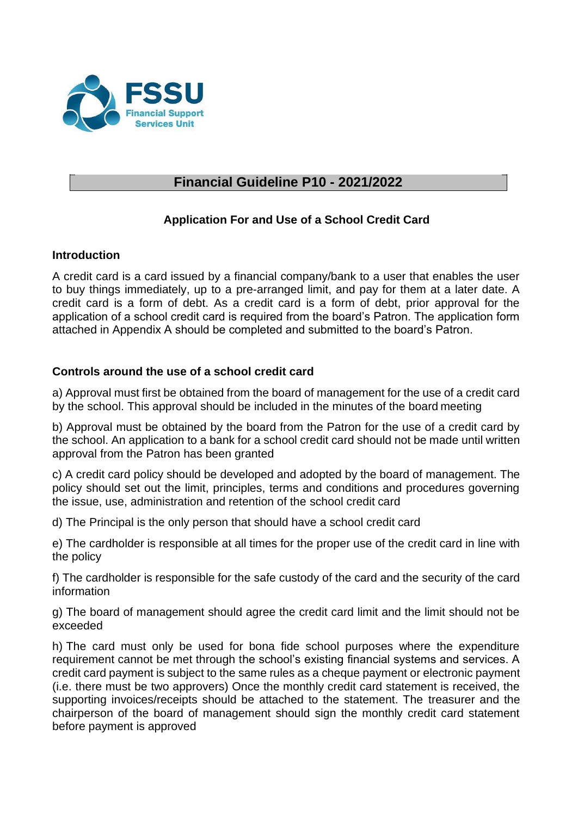

# **Financial Guideline P10 - 2021/2022**

### **Application For and Use of a School Credit Card**

### **Introduction**

A credit card is a card issued by a financial company/bank to a user that enables the user to buy things immediately, up to a pre-arranged limit, and pay for them at a later date. A credit card is a form of debt. As a credit card is a form of debt, prior approval for the application of a school credit card is required from the board's Patron. The application form attached in Appendix A should be completed and submitted to the board's Patron.

### **Controls around the use of a school credit card**

a) Approval must first be obtained from the board of management for the use of a credit card by the school. This approval should be included in the minutes of the board meeting

b) Approval must be obtained by the board from the Patron for the use of a credit card by the school. An application to a bank for a school credit card should not be made until written approval from the Patron has been granted

c) A credit card policy should be developed and adopted by the board of management. The policy should set out the limit, principles, terms and conditions and procedures governing the issue, use, administration and retention of the school credit card

d) The Principal is the only person that should have a school credit card

e) The cardholder is responsible at all times for the proper use of the credit card in line with the policy

f) The cardholder is responsible for the safe custody of the card and the security of the card information

g) The board of management should agree the credit card limit and the limit should not be exceeded

h) The card must only be used for bona fide school purposes where the expenditure requirement cannot be met through the school's existing financial systems and services. A credit card payment is subject to the same rules as a cheque payment or electronic payment (i.e. there must be two approvers) Once the monthly credit card statement is received, the supporting invoices/receipts should be attached to the statement. The treasurer and the chairperson of the board of management should sign the monthly credit card statement before payment is approved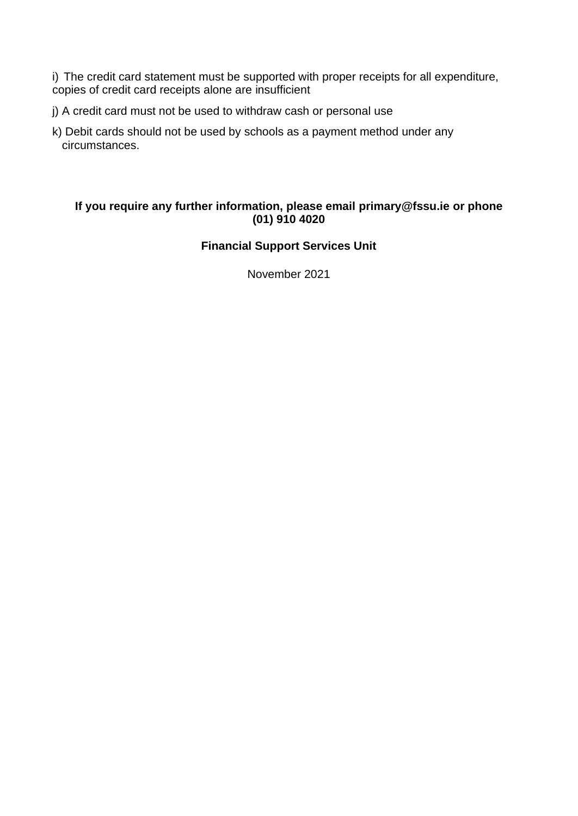i) The credit card statement must be supported with proper receipts for all expenditure, copies of credit card receipts alone are insufficient

- j) A credit card must not be used to withdraw cash or personal use
- k) Debit cards should not be used by schools as a payment method under any circumstances.

### **If you require any further information, please email [primary@fssu.ie o](mailto:primary@fssu.ie)r phone (01) 910 4020**

### **Financial Support Services Unit**

November 2021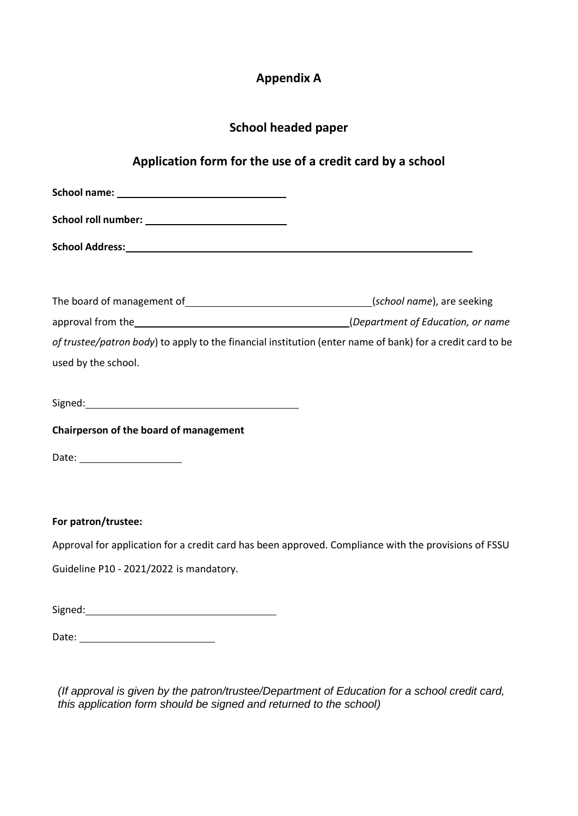# **Appendix A**

# **School headed paper**

# **Application form for the use of a credit card by a school**

| School name: New York Changes and School name:                                                                                                                                                                                 |  |
|--------------------------------------------------------------------------------------------------------------------------------------------------------------------------------------------------------------------------------|--|
|                                                                                                                                                                                                                                |  |
|                                                                                                                                                                                                                                |  |
|                                                                                                                                                                                                                                |  |
|                                                                                                                                                                                                                                |  |
|                                                                                                                                                                                                                                |  |
| of trustee/patron body) to apply to the financial institution (enter name of bank) for a credit card to be                                                                                                                     |  |
| used by the school.                                                                                                                                                                                                            |  |
|                                                                                                                                                                                                                                |  |
|                                                                                                                                                                                                                                |  |
| Chairperson of the board of management                                                                                                                                                                                         |  |
|                                                                                                                                                                                                                                |  |
|                                                                                                                                                                                                                                |  |
|                                                                                                                                                                                                                                |  |
| For patron/trustee:                                                                                                                                                                                                            |  |
|                                                                                                                                                                                                                                |  |
| Approval for application for a credit card has been approved. Compliance with the provisions of FSSU                                                                                                                           |  |
| Guideline P10 - 2021/2022 is mandatory.                                                                                                                                                                                        |  |
|                                                                                                                                                                                                                                |  |
| Signed: The Commission of the Commission of the Commission of the Commission of the Commission of the Commission of the Commission of the Commission of the Commission of the Commission of the Commission of the Commission o |  |

Date:

*(If approval is given by the patron/trustee/Department of Education for a school credit card, this application form should be signed and returned to the school)*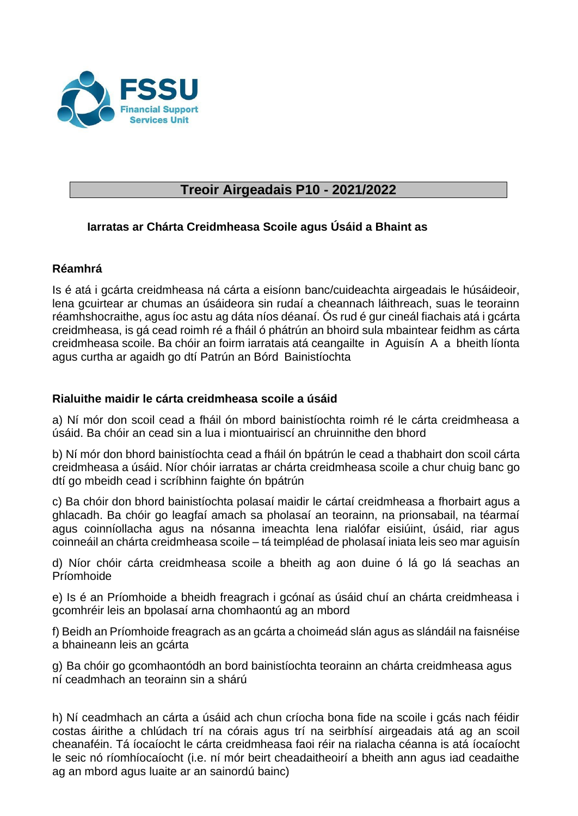

# **Treoir Airgeadais P10 - 2021/2022**

### **Iarratas ar Chárta Creidmheasa Scoile agus Úsáid a Bhaint as**

### **Réamhrá**

Is é atá i gcárta creidmheasa ná cárta a eisíonn banc/cuideachta airgeadais le húsáideoir, lena gcuirtear ar chumas an úsáideora sin rudaí a cheannach láithreach, suas le teorainn réamhshocraithe, agus íoc astu ag dáta níos déanaí. Ós rud é gur cineál fiachais atá i gcárta creidmheasa, is gá cead roimh ré a fháil ó phátrún an bhoird sula mbaintear feidhm as cárta creidmheasa scoile. Ba chóir an foirm iarratais atá ceangailte in Aguisín A a bheith líonta agus curtha ar agaidh go dtí Patrún an Bórd Bainistíochta

### **Rialuithe maidir le cárta creidmheasa scoile a úsáid**

a) Ní mór don scoil cead a fháil ón mbord bainistíochta roimh ré le cárta creidmheasa a úsáid. Ba chóir an cead sin a lua i miontuairiscí an chruinnithe den bhord

b) Ní mór don bhord bainistíochta cead a fháil ón bpátrún le cead a thabhairt don scoil cárta creidmheasa a úsáid. Níor chóir iarratas ar chárta creidmheasa scoile a chur chuig banc go dtí go mbeidh cead i scríbhinn faighte ón bpátrún

c) Ba chóir don bhord bainistíochta polasaí maidir le cártaí creidmheasa a fhorbairt agus a ghlacadh. Ba chóir go leagfaí amach sa pholasaí an teorainn, na prionsabail, na téarmaí agus coinníollacha agus na nósanna imeachta lena rialófar eisiúint, úsáid, riar agus coinneáil an chárta creidmheasa scoile – tá teimpléad de pholasaí iniata leis seo mar aguisín

d) Níor chóir cárta creidmheasa scoile a bheith ag aon duine ó lá go lá seachas an Príomhoide

e) Is é an Príomhoide a bheidh freagrach i gcónaí as úsáid chuí an chárta creidmheasa i gcomhréir leis an bpolasaí arna chomhaontú ag an mbord

f) Beidh an Príomhoide freagrach as an gcárta a choimeád slán agus as slándáil na faisnéise a bhaineann leis an gcárta

g) Ba chóir go gcomhaontódh an bord bainistíochta teorainn an chárta creidmheasa agus ní ceadmhach an teorainn sin a shárú

h) Ní ceadmhach an cárta a úsáid ach chun críocha bona fide na scoile i gcás nach féidir costas áirithe a chlúdach trí na córais agus trí na seirbhísí airgeadais atá ag an scoil cheanaféin. Tá íocaíocht le cárta creidmheasa faoi réir na rialacha céanna is atá íocaíocht le seic nó ríomhíocaíocht (i.e. ní mór beirt cheadaitheoirí a bheith ann agus iad ceadaithe ag an mbord agus luaite ar an sainordú bainc)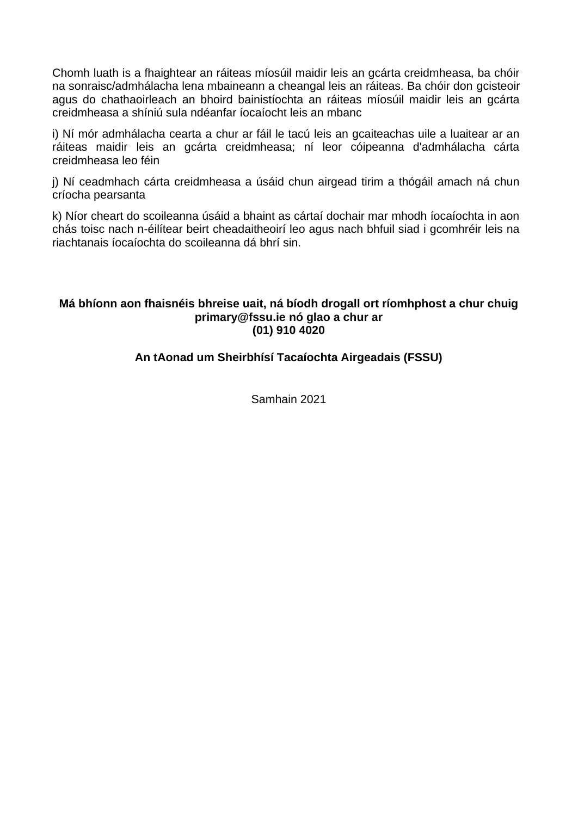Chomh luath is a fhaightear an ráiteas míosúil maidir leis an gcárta creidmheasa, ba chóir na sonraisc/admhálacha lena mbaineann a cheangal leis an ráiteas. Ba chóir don gcisteoir agus do chathaoirleach an bhoird bainistíochta an ráiteas míosúil maidir leis an gcárta creidmheasa a shíniú sula ndéanfar íocaíocht leis an mbanc

i) Ní mór admhálacha cearta a chur ar fáil le tacú leis an gcaiteachas uile a luaitear ar an ráiteas maidir leis an gcárta creidmheasa; ní leor cóipeanna d'admhálacha cárta creidmheasa leo féin

j) Ní ceadmhach cárta creidmheasa a úsáid chun airgead tirim a thógáil amach ná chun críocha pearsanta

k) Níor cheart do scoileanna úsáid a bhaint as cártaí dochair mar mhodh íocaíochta in aon chás toisc nach n-éilítear beirt cheadaitheoirí leo agus nach bhfuil siad i gcomhréir leis na riachtanais íocaíochta do scoileanna dá bhrí sin.

#### **Má bhíonn aon fhaisnéis bhreise uait, ná bíodh drogall ort ríomhphost a chur chui[g](mailto:primary@fssu.ie) [primary@fssu.ie n](mailto:primary@fssu.ie)ó glao a chur ar (01) 910 4020**

### **An tAonad um Sheirbhísí Tacaíochta Airgeadais (FSSU)**

Samhain 2021